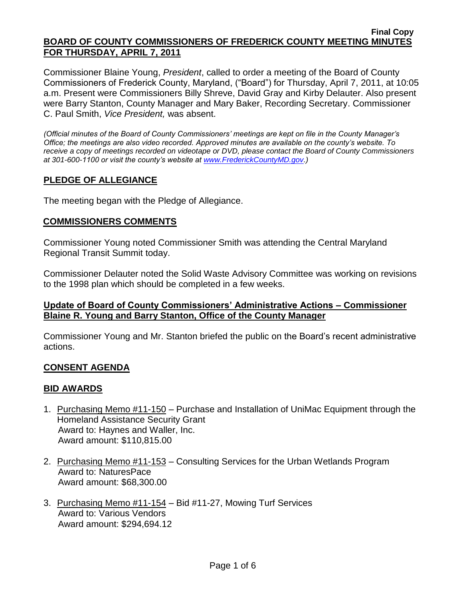#### **Final Copy BOARD OF COUNTY COMMISSIONERS OF FREDERICK COUNTY MEETING MINUTES FOR THURSDAY, APRIL 7, 2011**

Commissioner Blaine Young, *President*, called to order a meeting of the Board of County Commissioners of Frederick County, Maryland, ("Board") for Thursday, April 7, 2011, at 10:05 a.m. Present were Commissioners Billy Shreve, David Gray and Kirby Delauter. Also present were Barry Stanton, County Manager and Mary Baker, Recording Secretary. Commissioner C. Paul Smith, *Vice President,* was absent.

*(Official minutes of the Board of County Commissioners' meetings are kept on file in the County Manager's Office; the meetings are also video recorded. Approved minutes are available on the county's website. To receive a copy of meetings recorded on videotape or DVD, please contact the Board of County Commissioners at 301-600-1100 or visit the county's website at [www.FrederickCountyMD.gov.](http://www.frederickcountymd.gov/))*

# **PLEDGE OF ALLEGIANCE**

The meeting began with the Pledge of Allegiance.

## **COMMISSIONERS COMMENTS**

Commissioner Young noted Commissioner Smith was attending the Central Maryland Regional Transit Summit today.

Commissioner Delauter noted the Solid Waste Advisory Committee was working on revisions to the 1998 plan which should be completed in a few weeks.

## **Update of Board of County Commissioners' Administrative Actions – Commissioner Blaine R. Young and Barry Stanton, Office of the County Manager**

Commissioner Young and Mr. Stanton briefed the public on the Board's recent administrative actions.

## **CONSENT AGENDA**

## **BID AWARDS**

- 1. Purchasing Memo #11-150 Purchase and Installation of UniMac Equipment through the Homeland Assistance Security Grant Award to: Haynes and Waller, Inc. Award amount: \$110,815.00
- 2. Purchasing Memo #11-153 Consulting Services for the Urban Wetlands Program Award to: NaturesPace Award amount: \$68,300.00
- 3. Purchasing Memo #11-154 Bid #11-27, Mowing Turf Services Award to: Various Vendors Award amount: \$294,694.12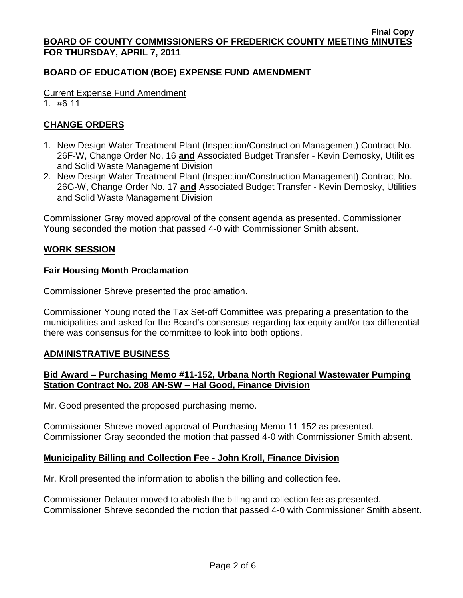## **BOARD OF EDUCATION (BOE) EXPENSE FUND AMENDMENT**

Current Expense Fund Amendment

1. #6-11

## **CHANGE ORDERS**

- 1. New Design Water Treatment Plant (Inspection/Construction Management) Contract No. 26F-W, Change Order No. 16 **and** Associated Budget Transfer - Kevin Demosky, Utilities and Solid Waste Management Division
- 2. New Design Water Treatment Plant (Inspection/Construction Management) Contract No. 26G-W, Change Order No. 17 **and** Associated Budget Transfer - Kevin Demosky, Utilities and Solid Waste Management Division

Commissioner Gray moved approval of the consent agenda as presented. Commissioner Young seconded the motion that passed 4-0 with Commissioner Smith absent.

### **WORK SESSION**

### **Fair Housing Month Proclamation**

Commissioner Shreve presented the proclamation.

Commissioner Young noted the Tax Set-off Committee was preparing a presentation to the municipalities and asked for the Board's consensus regarding tax equity and/or tax differential there was consensus for the committee to look into both options.

## **ADMINISTRATIVE BUSINESS**

### **Bid Award – Purchasing Memo #11-152, Urbana North Regional Wastewater Pumping Station Contract No. 208 AN-SW – Hal Good, Finance Division**

Mr. Good presented the proposed purchasing memo.

Commissioner Shreve moved approval of Purchasing Memo 11-152 as presented. Commissioner Gray seconded the motion that passed 4-0 with Commissioner Smith absent.

## **Municipality Billing and Collection Fee - John Kroll, Finance Division**

Mr. Kroll presented the information to abolish the billing and collection fee.

Commissioner Delauter moved to abolish the billing and collection fee as presented. Commissioner Shreve seconded the motion that passed 4-0 with Commissioner Smith absent.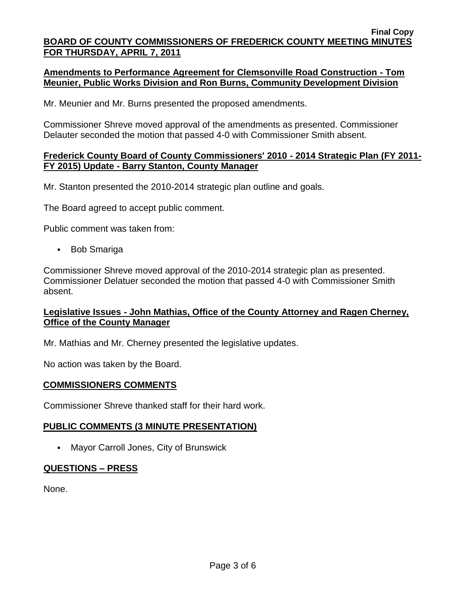## **Amendments to Performance Agreement for Clemsonville Road Construction - Tom Meunier, Public Works Division and Ron Burns, Community Development Division**

Mr. Meunier and Mr. Burns presented the proposed amendments.

Commissioner Shreve moved approval of the amendments as presented. Commissioner Delauter seconded the motion that passed 4-0 with Commissioner Smith absent.

## **Frederick County Board of County Commissioners' 2010 - 2014 Strategic Plan (FY 2011- FY 2015) Update - Barry Stanton, County Manager**

Mr. Stanton presented the 2010-2014 strategic plan outline and goals.

The Board agreed to accept public comment.

Public comment was taken from:

Bob Smariga

Commissioner Shreve moved approval of the 2010-2014 strategic plan as presented. Commissioner Delatuer seconded the motion that passed 4-0 with Commissioner Smith absent.

## **Legislative Issues - John Mathias, Office of the County Attorney and Ragen Cherney, Office of the County Manager**

Mr. Mathias and Mr. Cherney presented the legislative updates.

No action was taken by the Board.

### **COMMISSIONERS COMMENTS**

Commissioner Shreve thanked staff for their hard work.

## **PUBLIC COMMENTS (3 MINUTE PRESENTATION)**

Mayor Carroll Jones, City of Brunswick

## **QUESTIONS – PRESS**

None.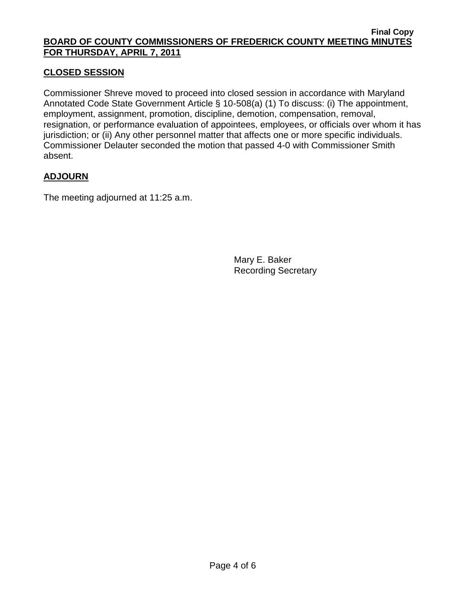#### **Final Copy BOARD OF COUNTY COMMISSIONERS OF FREDERICK COUNTY MEETING MINUTES FOR THURSDAY, APRIL 7, 2011**

## **CLOSED SESSION**

Commissioner Shreve moved to proceed into closed session in accordance with Maryland Annotated Code State Government Article § 10-508(a) (1) To discuss: (i) The appointment, employment, assignment, promotion, discipline, demotion, compensation, removal, resignation, or performance evaluation of appointees, employees, or officials over whom it has jurisdiction; or (ii) Any other personnel matter that affects one or more specific individuals. Commissioner Delauter seconded the motion that passed 4-0 with Commissioner Smith absent.

## **ADJOURN**

The meeting adjourned at 11:25 a.m.

Mary E. Baker Recording Secretary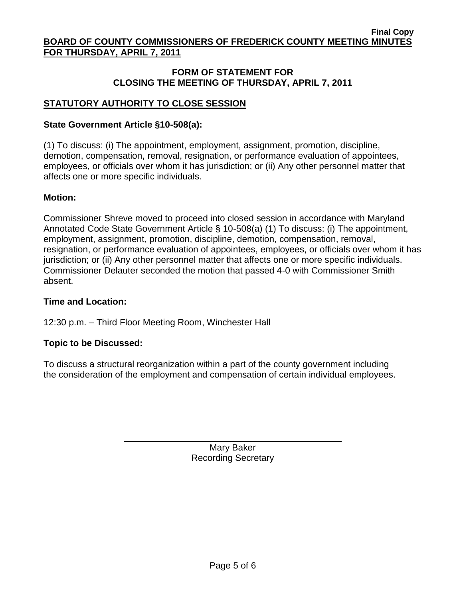## **FORM OF STATEMENT FOR CLOSING THE MEETING OF THURSDAY, APRIL 7, 2011**

# **STATUTORY AUTHORITY TO CLOSE SESSION**

# **State Government Article §10-508(a):**

(1) To discuss: (i) The appointment, employment, assignment, promotion, discipline, demotion, compensation, removal, resignation, or performance evaluation of appointees, employees, or officials over whom it has jurisdiction; or (ii) Any other personnel matter that affects one or more specific individuals.

# **Motion:**

Commissioner Shreve moved to proceed into closed session in accordance with Maryland Annotated Code State Government Article § 10-508(a) (1) To discuss: (i) The appointment, employment, assignment, promotion, discipline, demotion, compensation, removal, resignation, or performance evaluation of appointees, employees, or officials over whom it has jurisdiction; or (ii) Any other personnel matter that affects one or more specific individuals. Commissioner Delauter seconded the motion that passed 4-0 with Commissioner Smith absent.

## **Time and Location:**

12:30 p.m. – Third Floor Meeting Room, Winchester Hall

# **Topic to be Discussed:**

To discuss a structural reorganization within a part of the county government including the consideration of the employment and compensation of certain individual employees.

> Mary Baker Recording Secretary